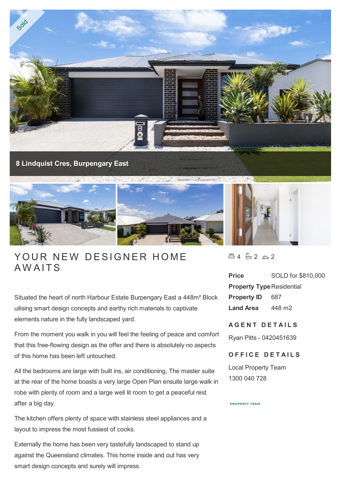

# YOUR NEW<br>AWAITS

Situated the heart of north Harbour Estate Burpengary East a 448m² Block uilising smart design concepts and earthy rich materials to captivate elements nature in the fully landscaped yard.

From the moment you walk in you will feel the feeling of peace and comfort that this free-flowing design as the offer and there is absolutely no aspects of this home has been left untouched.

All the bedrooms are large with built ins, air conditioning, The master suite at the rear of the home boasts a very large Open Plan ensuite large walk in robe with plenty of room and a large well lit room to get a peaceful rest after a big day.

The kitchen offers plenty of space with stainless steel appliances and a layout to impress the most fussiest of cooks.

Externally the home has been very tastefully landscaped to stand up against the Queensland climates. This home inside and out has very smart design concepts and surely will impress.

 $4 - 2 - 2$ 

**Price** SOLD for \$810,000 **Property Type Residential Property ID** 687 **Land Area** 448 m2

# **A G E N T D E T A I L S**

Ryan Pitts - 0420451639

## **OFFICE DETAILS**

Local Property Team 1300 040 728

### **PROPERTY TEAM**